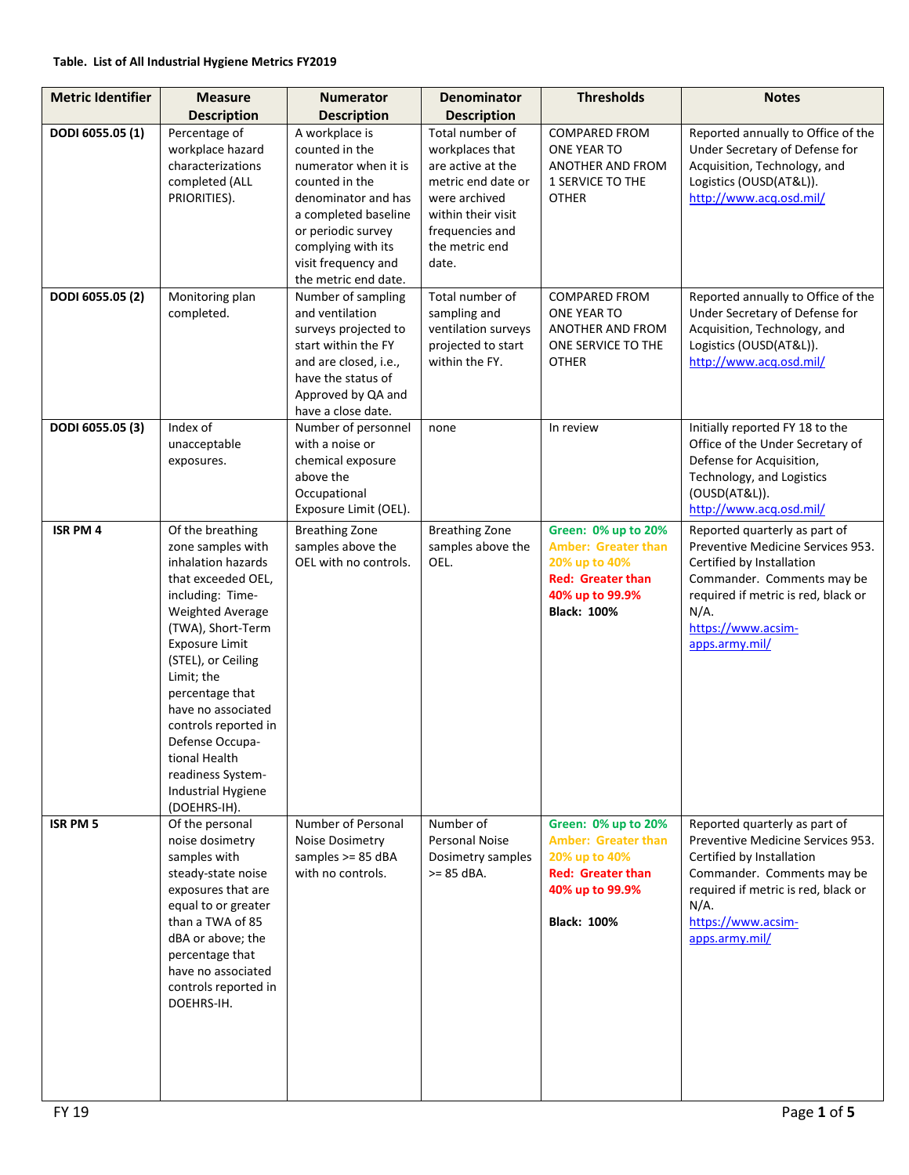| <b>Metric Identifier</b> | <b>Measure</b>                                                                                                                                                                                                                                                                                                                                                              | <b>Numerator</b>                                                                                                                                                                                                     | <b>Denominator</b>                                                                                                                                                 | <b>Thresholds</b>                                                                                                                       | <b>Notes</b>                                                                                                                                                                                                            |
|--------------------------|-----------------------------------------------------------------------------------------------------------------------------------------------------------------------------------------------------------------------------------------------------------------------------------------------------------------------------------------------------------------------------|----------------------------------------------------------------------------------------------------------------------------------------------------------------------------------------------------------------------|--------------------------------------------------------------------------------------------------------------------------------------------------------------------|-----------------------------------------------------------------------------------------------------------------------------------------|-------------------------------------------------------------------------------------------------------------------------------------------------------------------------------------------------------------------------|
|                          | <b>Description</b>                                                                                                                                                                                                                                                                                                                                                          | <b>Description</b>                                                                                                                                                                                                   | <b>Description</b>                                                                                                                                                 |                                                                                                                                         |                                                                                                                                                                                                                         |
| DODI 6055.05 (1)         | Percentage of<br>workplace hazard<br>characterizations<br>completed (ALL<br>PRIORITIES).                                                                                                                                                                                                                                                                                    | A workplace is<br>counted in the<br>numerator when it is<br>counted in the<br>denominator and has<br>a completed baseline<br>or periodic survey<br>complying with its<br>visit frequency and<br>the metric end date. | Total number of<br>workplaces that<br>are active at the<br>metric end date or<br>were archived<br>within their visit<br>frequencies and<br>the metric end<br>date. | <b>COMPARED FROM</b><br>ONE YEAR TO<br>ANOTHER AND FROM<br><b>1 SERVICE TO THE</b><br><b>OTHER</b>                                      | Reported annually to Office of the<br>Under Secretary of Defense for<br>Acquisition, Technology, and<br>Logistics (OUSD(AT&L)).<br>http://www.acq.osd.mil/                                                              |
| DODI 6055.05 (2)         | Monitoring plan<br>completed.                                                                                                                                                                                                                                                                                                                                               | Number of sampling<br>and ventilation<br>surveys projected to<br>start within the FY<br>and are closed, i.e.,<br>have the status of<br>Approved by QA and<br>have a close date.                                      | Total number of<br>sampling and<br>ventilation surveys<br>projected to start<br>within the FY.                                                                     | <b>COMPARED FROM</b><br>ONE YEAR TO<br>ANOTHER AND FROM<br>ONE SERVICE TO THE<br><b>OTHER</b>                                           | Reported annually to Office of the<br>Under Secretary of Defense for<br>Acquisition, Technology, and<br>Logistics (OUSD(AT&L)).<br>http://www.acq.osd.mil/                                                              |
| DODI 6055.05 (3)         | Index of<br>unacceptable<br>exposures.                                                                                                                                                                                                                                                                                                                                      | Number of personnel<br>with a noise or<br>chemical exposure<br>above the<br>Occupational<br>Exposure Limit (OEL).                                                                                                    | none                                                                                                                                                               | In review                                                                                                                               | Initially reported FY 18 to the<br>Office of the Under Secretary of<br>Defense for Acquisition,<br>Technology, and Logistics<br>(OUSD(AT&L)).<br>http://www.acq.osd.mil/                                                |
| <b>ISR PM 4</b>          | Of the breathing<br>zone samples with<br>inhalation hazards<br>that exceeded OEL,<br>including: Time-<br>Weighted Average<br>(TWA), Short-Term<br><b>Exposure Limit</b><br>(STEL), or Ceiling<br>Limit; the<br>percentage that<br>have no associated<br>controls reported in<br>Defense Occupa-<br>tional Health<br>readiness System-<br>Industrial Hygiene<br>(DOEHRS-IH). | <b>Breathing Zone</b><br>samples above the<br>OEL with no controls.                                                                                                                                                  | <b>Breathing Zone</b><br>samples above the<br>OEL.                                                                                                                 | Green: 0% up to 20%<br><b>Amber: Greater than</b><br>20% up to 40%<br><b>Red: Greater than</b><br>40% up to 99.9%<br><b>Black: 100%</b> | Reported quarterly as part of<br>Preventive Medicine Services 953.<br>Certified by Installation<br>Commander. Comments may be<br>required if metric is red, black or<br>$N/A$ .<br>https://www.acsim-<br>apps.army.mil/ |
| <b>ISR PM 5</b>          | Of the personal<br>noise dosimetry<br>samples with<br>steady-state noise<br>exposures that are<br>equal to or greater<br>than a TWA of 85<br>dBA or above; the<br>percentage that<br>have no associated<br>controls reported in<br>DOEHRS-IH.                                                                                                                               | Number of Personal<br>Noise Dosimetry<br>samples >= 85 dBA<br>with no controls.                                                                                                                                      | Number of<br><b>Personal Noise</b><br>Dosimetry samples<br>$>= 85$ dBA.                                                                                            | Green: 0% up to 20%<br><b>Amber: Greater than</b><br>20% up to 40%<br><b>Red: Greater than</b><br>40% up to 99.9%<br><b>Black: 100%</b> | Reported quarterly as part of<br>Preventive Medicine Services 953.<br>Certified by Installation<br>Commander. Comments may be<br>required if metric is red, black or<br>$N/A$ .<br>https://www.acsim-<br>apps.army.mil/ |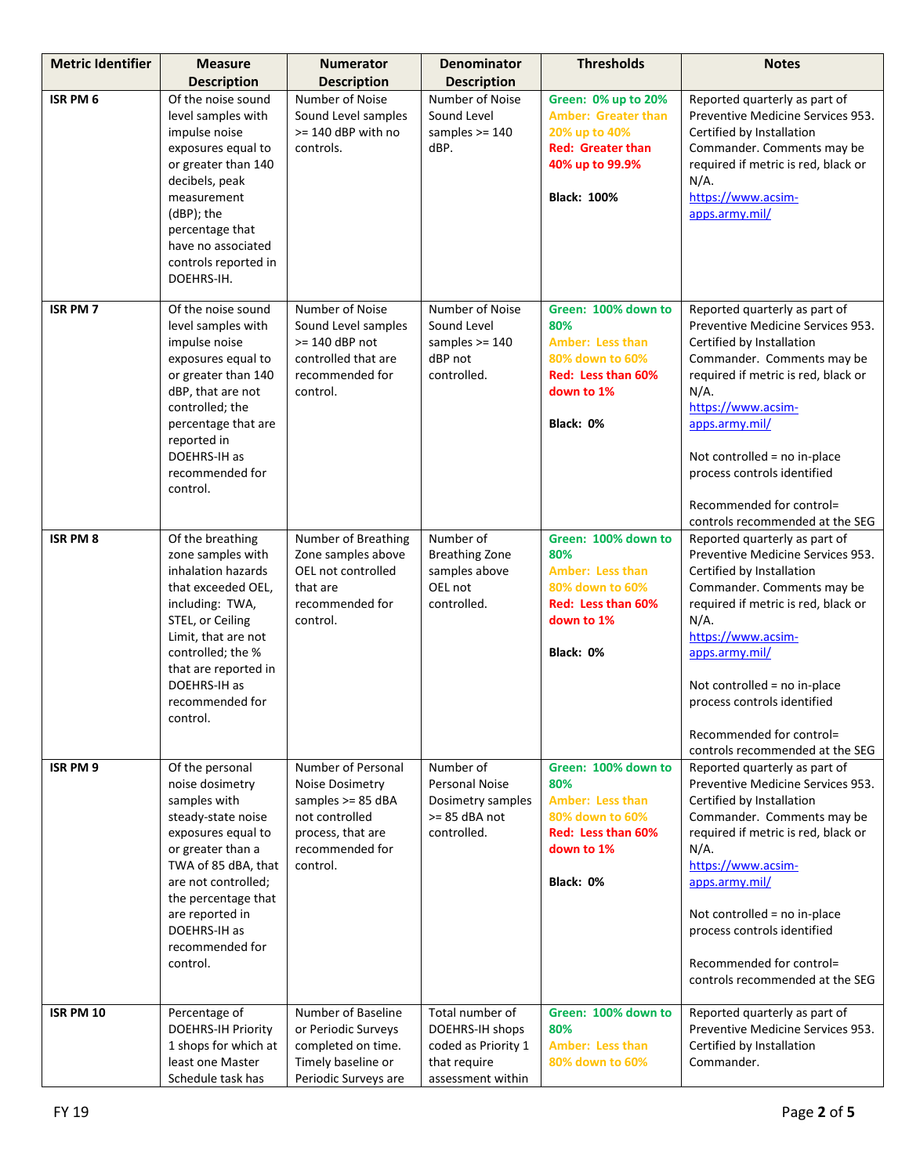| <b>Metric Identifier</b> | <b>Measure</b>                                                                                                                                                                                                                                             | <b>Numerator</b>                                                                                                                   | <b>Denominator</b>                                                                             | <b>Thresholds</b>                                                                                                                       | <b>Notes</b>                                                                                                                                                                                                                                                                                                                                          |
|--------------------------|------------------------------------------------------------------------------------------------------------------------------------------------------------------------------------------------------------------------------------------------------------|------------------------------------------------------------------------------------------------------------------------------------|------------------------------------------------------------------------------------------------|-----------------------------------------------------------------------------------------------------------------------------------------|-------------------------------------------------------------------------------------------------------------------------------------------------------------------------------------------------------------------------------------------------------------------------------------------------------------------------------------------------------|
|                          | <b>Description</b>                                                                                                                                                                                                                                         | <b>Description</b>                                                                                                                 | <b>Description</b>                                                                             |                                                                                                                                         |                                                                                                                                                                                                                                                                                                                                                       |
| ISR PM 6                 | Of the noise sound<br>level samples with<br>impulse noise<br>exposures equal to<br>or greater than 140<br>decibels, peak<br>measurement<br>(dBP); the<br>percentage that<br>have no associated<br>controls reported in<br>DOEHRS-IH.                       | Number of Noise<br>Sound Level samples<br>>= 140 dBP with no<br>controls.                                                          | Number of Noise<br>Sound Level<br>samples $>= 140$<br>dBP.                                     | Green: 0% up to 20%<br><b>Amber: Greater than</b><br>20% up to 40%<br><b>Red: Greater than</b><br>40% up to 99.9%<br><b>Black: 100%</b> | Reported quarterly as part of<br>Preventive Medicine Services 953.<br>Certified by Installation<br>Commander. Comments may be<br>required if metric is red, black or<br>$N/A$ .<br>https://www.acsim-<br>apps.army.mil/                                                                                                                               |
| <b>ISR PM7</b>           | Of the noise sound<br>level samples with<br>impulse noise<br>exposures equal to<br>or greater than 140<br>dBP, that are not<br>controlled; the<br>percentage that are<br>reported in<br>DOEHRS-IH as<br>recommended for<br>control.                        | Number of Noise<br>Sound Level samples<br>$>= 140$ dBP not<br>controlled that are<br>recommended for<br>control.                   | Number of Noise<br>Sound Level<br>samples $>= 140$<br>dBP not<br>controlled.                   | Green: 100% down to<br>80%<br><b>Amber: Less than</b><br>80% down to 60%<br>Red: Less than 60%<br>down to 1%<br>Black: 0%               | Reported quarterly as part of<br>Preventive Medicine Services 953.<br>Certified by Installation<br>Commander. Comments may be<br>required if metric is red, black or<br>$N/A$ .<br>https://www.acsim-<br>apps.army.mil/<br>Not controlled = no in-place<br>process controls identified<br>Recommended for control=<br>controls recommended at the SEG |
| <b>ISR PM 8</b>          | Of the breathing<br>zone samples with<br>inhalation hazards<br>that exceeded OEL,<br>including: TWA,<br>STEL, or Ceiling<br>Limit, that are not<br>controlled; the %<br>that are reported in<br>DOEHRS-IH as<br>recommended for<br>control.                | Number of Breathing<br>Zone samples above<br>OEL not controlled<br>that are<br>recommended for<br>control.                         | Number of<br><b>Breathing Zone</b><br>samples above<br>OEL not<br>controlled.                  | Green: 100% down to<br>80%<br><b>Amber: Less than</b><br>80% down to 60%<br>Red: Less than 60%<br>down to 1%<br>Black: 0%               | Reported quarterly as part of<br>Preventive Medicine Services 953.<br>Certified by Installation<br>Commander. Comments may be<br>required if metric is red, black or<br>$N/A$ .<br>https://www.acsim-<br>apps.army.mil/<br>Not controlled = no in-place<br>process controls identified<br>Recommended for control=<br>controls recommended at the SEG |
| ISR PM 9                 | Of the personal<br>noise dosimetry<br>samples with<br>steady-state noise<br>exposures equal to<br>or greater than a<br>TWA of 85 dBA, that<br>are not controlled;<br>the percentage that<br>are reported in<br>DOEHRS-IH as<br>recommended for<br>control. | Number of Personal<br>Noise Dosimetry<br>samples $>= 85$ dBA<br>not controlled<br>process, that are<br>recommended for<br>control. | Number of<br>Personal Noise<br>Dosimetry samples<br>$>= 85$ dBA not<br>controlled.             | Green: 100% down to<br>80%<br><b>Amber: Less than</b><br>80% down to 60%<br>Red: Less than 60%<br>down to 1%<br>Black: 0%               | Reported quarterly as part of<br>Preventive Medicine Services 953.<br>Certified by Installation<br>Commander. Comments may be<br>required if metric is red, black or<br>$N/A$ .<br>https://www.acsim-<br>apps.army.mil/<br>Not controlled = no in-place<br>process controls identified<br>Recommended for control=<br>controls recommended at the SEG |
| ISR PM 10                | Percentage of<br><b>DOEHRS-IH Priority</b><br>1 shops for which at<br>least one Master<br>Schedule task has                                                                                                                                                | Number of Baseline<br>or Periodic Surveys<br>completed on time.<br>Timely baseline or<br>Periodic Surveys are                      | Total number of<br>DOEHRS-IH shops<br>coded as Priority 1<br>that require<br>assessment within | Green: 100% down to<br>80%<br><b>Amber: Less than</b><br>80% down to 60%                                                                | Reported quarterly as part of<br>Preventive Medicine Services 953.<br>Certified by Installation<br>Commander.                                                                                                                                                                                                                                         |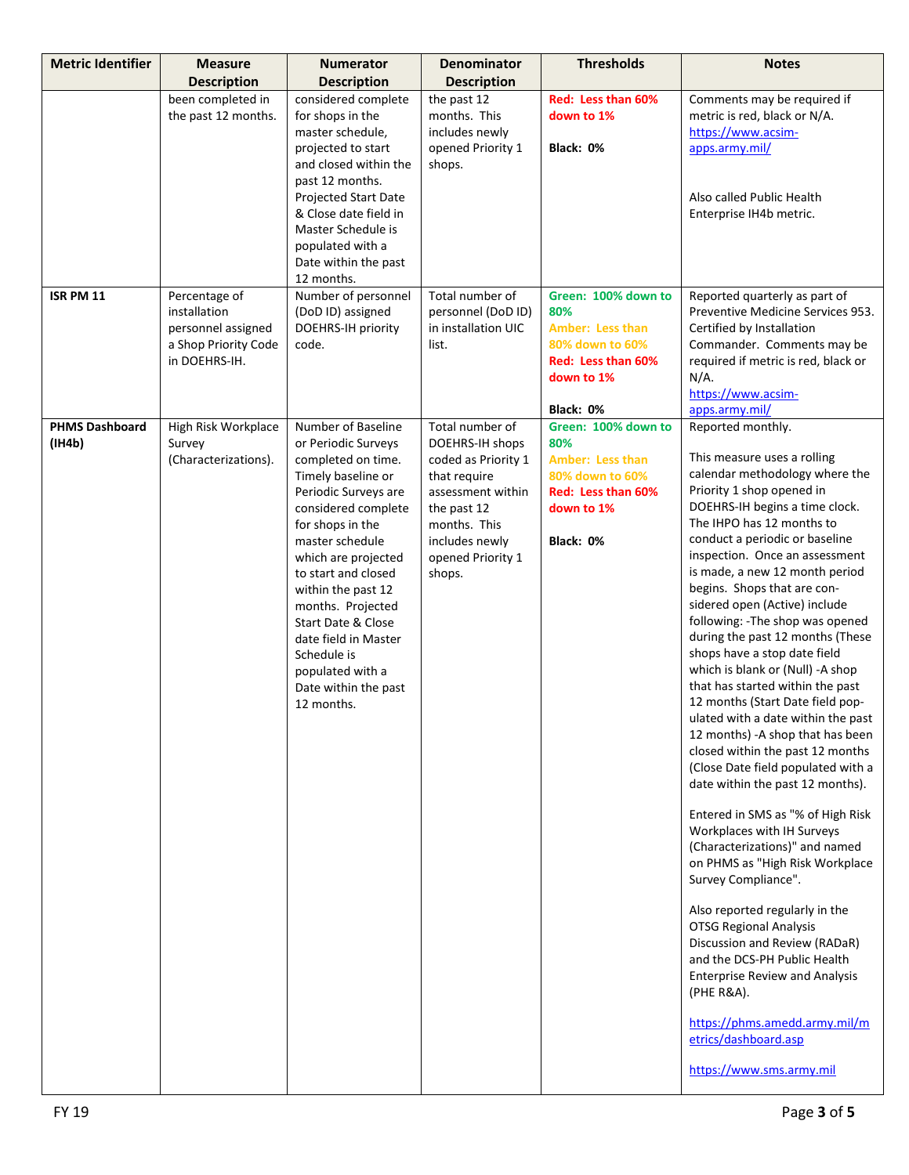| <b>Metric Identifier</b>        | <b>Measure</b>                                                                               | <b>Numerator</b>                                                                                                                                                                                                                                                                                                                                                                                       | <b>Denominator</b>                                                                                                                                                             | <b>Thresholds</b>                                                                                                         | <b>Notes</b>                                                                                                                                                                                                                                                                                                                                                                                                                                                                                                                                                                                                                                                                                                                                                                                                                                                                                                                                                                                                                                                                                                                                                                                                   |
|---------------------------------|----------------------------------------------------------------------------------------------|--------------------------------------------------------------------------------------------------------------------------------------------------------------------------------------------------------------------------------------------------------------------------------------------------------------------------------------------------------------------------------------------------------|--------------------------------------------------------------------------------------------------------------------------------------------------------------------------------|---------------------------------------------------------------------------------------------------------------------------|----------------------------------------------------------------------------------------------------------------------------------------------------------------------------------------------------------------------------------------------------------------------------------------------------------------------------------------------------------------------------------------------------------------------------------------------------------------------------------------------------------------------------------------------------------------------------------------------------------------------------------------------------------------------------------------------------------------------------------------------------------------------------------------------------------------------------------------------------------------------------------------------------------------------------------------------------------------------------------------------------------------------------------------------------------------------------------------------------------------------------------------------------------------------------------------------------------------|
|                                 | <b>Description</b>                                                                           | <b>Description</b>                                                                                                                                                                                                                                                                                                                                                                                     | <b>Description</b>                                                                                                                                                             |                                                                                                                           |                                                                                                                                                                                                                                                                                                                                                                                                                                                                                                                                                                                                                                                                                                                                                                                                                                                                                                                                                                                                                                                                                                                                                                                                                |
|                                 | been completed in<br>the past 12 months.                                                     | considered complete<br>for shops in the<br>master schedule,<br>projected to start<br>and closed within the<br>past 12 months.<br>Projected Start Date<br>& Close date field in<br>Master Schedule is<br>populated with a<br>Date within the past<br>12 months.                                                                                                                                         | the past 12<br>months. This<br>includes newly<br>opened Priority 1<br>shops.                                                                                                   | Red: Less than 60%<br>down to 1%<br>Black: 0%                                                                             | Comments may be required if<br>metric is red, black or N/A.<br>https://www.acsim-<br>apps.army.mil/<br>Also called Public Health<br>Enterprise IH4b metric.                                                                                                                                                                                                                                                                                                                                                                                                                                                                                                                                                                                                                                                                                                                                                                                                                                                                                                                                                                                                                                                    |
| <b>ISR PM 11</b>                | Percentage of<br>installation<br>personnel assigned<br>a Shop Priority Code<br>in DOEHRS-IH. | Number of personnel<br>(DoD ID) assigned<br>DOEHRS-IH priority<br>code.                                                                                                                                                                                                                                                                                                                                | Total number of<br>personnel (DoD ID)<br>in installation UIC<br>list.                                                                                                          | Green: 100% down to<br>80%<br><b>Amber: Less than</b><br>80% down to 60%<br>Red: Less than 60%<br>down to 1%<br>Black: 0% | Reported quarterly as part of<br>Preventive Medicine Services 953.<br>Certified by Installation<br>Commander. Comments may be<br>required if metric is red, black or<br>$N/A$ .<br>https://www.acsim-<br>apps.army.mil/                                                                                                                                                                                                                                                                                                                                                                                                                                                                                                                                                                                                                                                                                                                                                                                                                                                                                                                                                                                        |
| <b>PHMS Dashboard</b><br>(1H4b) | High Risk Workplace<br>Survey<br>(Characterizations).                                        | Number of Baseline<br>or Periodic Surveys<br>completed on time.<br>Timely baseline or<br>Periodic Surveys are<br>considered complete<br>for shops in the<br>master schedule<br>which are projected<br>to start and closed<br>within the past 12<br>months. Projected<br><b>Start Date &amp; Close</b><br>date field in Master<br>Schedule is<br>populated with a<br>Date within the past<br>12 months. | Total number of<br>DOEHRS-IH shops<br>coded as Priority 1<br>that require<br>assessment within<br>the past 12<br>months. This<br>includes newly<br>opened Priority 1<br>shops. | Green: 100% down to<br>80%<br><b>Amber: Less than</b><br>80% down to 60%<br>Red: Less than 60%<br>down to 1%<br>Black: 0% | Reported monthly.<br>This measure uses a rolling<br>calendar methodology where the<br>Priority 1 shop opened in<br>DOEHRS-IH begins a time clock.<br>The IHPO has 12 months to<br>conduct a periodic or baseline<br>inspection. Once an assessment<br>is made, a new 12 month period<br>begins. Shops that are con-<br>sidered open (Active) include<br>following: -The shop was opened<br>during the past 12 months (These<br>shops have a stop date field<br>which is blank or (Null) -A shop<br>that has started within the past<br>12 months (Start Date field pop-<br>ulated with a date within the past<br>12 months) -A shop that has been<br>closed within the past 12 months<br>(Close Date field populated with a<br>date within the past 12 months).<br>Entered in SMS as "% of High Risk<br>Workplaces with IH Surveys<br>(Characterizations)" and named<br>on PHMS as "High Risk Workplace<br>Survey Compliance".<br>Also reported regularly in the<br><b>OTSG Regional Analysis</b><br>Discussion and Review (RADaR)<br>and the DCS-PH Public Health<br><b>Enterprise Review and Analysis</b><br>(PHE R&A).<br>https://phms.amedd.army.mil/m<br>etrics/dashboard.asp<br>https://www.sms.army.mil |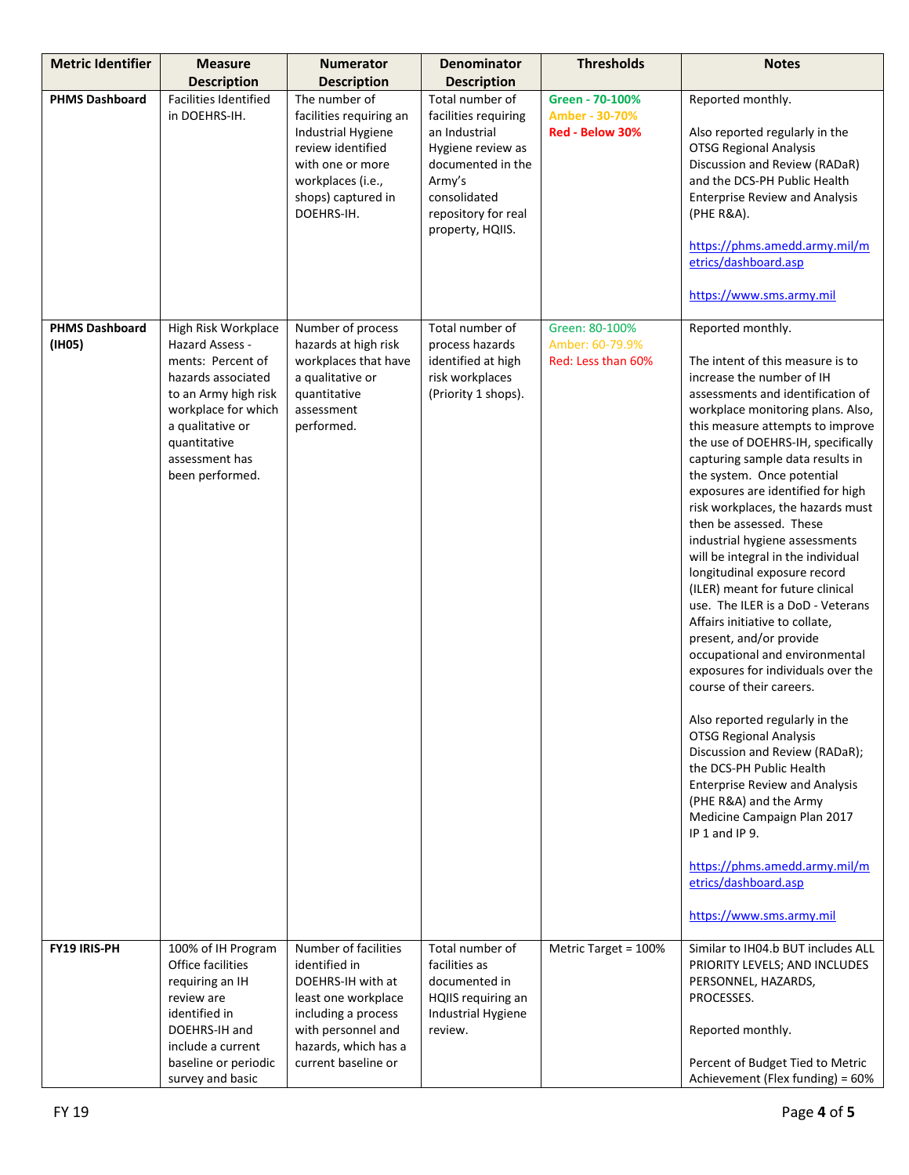| <b>Metric Identifier</b>        | <b>Measure</b><br><b>Description</b>                                                                                                                                                                      | <b>Numerator</b>                                                                                                                                                                              | <b>Denominator</b>                                                                                                                                                                            | <b>Thresholds</b>                                       | <b>Notes</b>                                                                                                                                                                                                                                                                                                                                                                                                                                                                                                                                                                                                                                                                                                                                                                                                                                                                                                                                                                                                                                                                                                   |
|---------------------------------|-----------------------------------------------------------------------------------------------------------------------------------------------------------------------------------------------------------|-----------------------------------------------------------------------------------------------------------------------------------------------------------------------------------------------|-----------------------------------------------------------------------------------------------------------------------------------------------------------------------------------------------|---------------------------------------------------------|----------------------------------------------------------------------------------------------------------------------------------------------------------------------------------------------------------------------------------------------------------------------------------------------------------------------------------------------------------------------------------------------------------------------------------------------------------------------------------------------------------------------------------------------------------------------------------------------------------------------------------------------------------------------------------------------------------------------------------------------------------------------------------------------------------------------------------------------------------------------------------------------------------------------------------------------------------------------------------------------------------------------------------------------------------------------------------------------------------------|
| <b>PHMS Dashboard</b>           | <b>Facilities Identified</b><br>in DOEHRS-IH.                                                                                                                                                             | <b>Description</b><br>The number of<br>facilities requiring an<br><b>Industrial Hygiene</b><br>review identified<br>with one or more<br>workplaces (i.e.,<br>shops) captured in<br>DOEHRS-IH. | <b>Description</b><br>Total number of<br>facilities requiring<br>an Industrial<br>Hygiene review as<br>documented in the<br>Army's<br>consolidated<br>repository for real<br>property, HQIIS. | Green - 70-100%<br>Amber - 30-70%<br>Red - Below 30%    | Reported monthly.<br>Also reported regularly in the<br><b>OTSG Regional Analysis</b><br>Discussion and Review (RADaR)<br>and the DCS-PH Public Health<br><b>Enterprise Review and Analysis</b><br>(PHE R&A).<br>https://phms.amedd.army.mil/m<br>etrics/dashboard.asp<br>https://www.sms.army.mil                                                                                                                                                                                                                                                                                                                                                                                                                                                                                                                                                                                                                                                                                                                                                                                                              |
| <b>PHMS Dashboard</b><br>(IH05) | High Risk Workplace<br>Hazard Assess -<br>ments: Percent of<br>hazards associated<br>to an Army high risk<br>workplace for which<br>a qualitative or<br>quantitative<br>assessment has<br>been performed. | Number of process<br>hazards at high risk<br>workplaces that have<br>a qualitative or<br>quantitative<br>assessment<br>performed.                                                             | Total number of<br>process hazards<br>identified at high<br>risk workplaces<br>(Priority 1 shops).                                                                                            | Green: 80-100%<br>Amber: 60-79.9%<br>Red: Less than 60% | Reported monthly.<br>The intent of this measure is to<br>increase the number of IH<br>assessments and identification of<br>workplace monitoring plans. Also,<br>this measure attempts to improve<br>the use of DOEHRS-IH, specifically<br>capturing sample data results in<br>the system. Once potential<br>exposures are identified for high<br>risk workplaces, the hazards must<br>then be assessed. These<br>industrial hygiene assessments<br>will be integral in the individual<br>longitudinal exposure record<br>(ILER) meant for future clinical<br>use. The ILER is a DoD - Veterans<br>Affairs initiative to collate,<br>present, and/or provide<br>occupational and environmental<br>exposures for individuals over the<br>course of their careers.<br>Also reported regularly in the<br><b>OTSG Regional Analysis</b><br>Discussion and Review (RADaR);<br>the DCS-PH Public Health<br><b>Enterprise Review and Analysis</b><br>(PHE R&A) and the Army<br>Medicine Campaign Plan 2017<br>$IP 1$ and $IP 9$ .<br>https://phms.amedd.army.mil/m<br>etrics/dashboard.asp<br>https://www.sms.army.mil |
| <b>FY19 IRIS-PH</b>             | 100% of IH Program<br>Office facilities<br>requiring an IH<br>review are<br>identified in<br>DOEHRS-IH and<br>include a current<br>baseline or periodic<br>survey and basic                               | Number of facilities<br>identified in<br>DOEHRS-IH with at<br>least one workplace<br>including a process<br>with personnel and<br>hazards, which has a<br>current baseline or                 | Total number of<br>facilities as<br>documented in<br>HQIIS requiring an<br>Industrial Hygiene<br>review.                                                                                      | Metric Target = 100%                                    | Similar to IH04.b BUT includes ALL<br>PRIORITY LEVELS; AND INCLUDES<br>PERSONNEL, HAZARDS,<br>PROCESSES.<br>Reported monthly.<br>Percent of Budget Tied to Metric<br>Achievement (Flex funding) = 60%                                                                                                                                                                                                                                                                                                                                                                                                                                                                                                                                                                                                                                                                                                                                                                                                                                                                                                          |